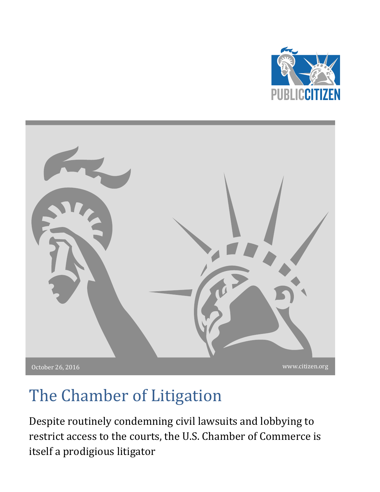



# The Chamber of Litigation

Despite routinely condemning civil lawsuits and lobbying to restrict access to the courts, the U.S. Chamber of Commerce is itself a prodigious litigator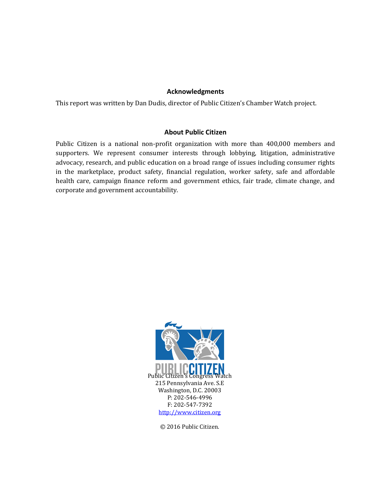#### **Acknowledgments**

This report was written by Dan Dudis, director of Public Citizen's Chamber Watch project.

#### **About Public Citizen**

Public Citizen is a national non-profit organization with more than 400,000 members and supporters. We represent consumer interests through lobbying, litigation, administrative advocacy, research, and public education on a broad range of issues including consumer rights in the marketplace, product safety, financial regulation, worker safety, safe and affordable health care, campaign finance reform and government ethics, fair trade, climate change, and corporate and government accountability.



© 2016 Public Citizen.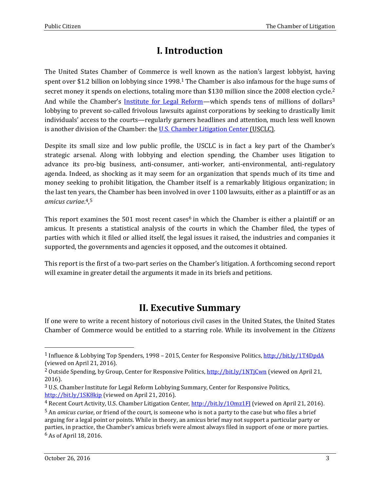## **I. Introduction**

The United States Chamber of Commerce is well known as the nation's largest lobbyist, having spent over \$1.2 billion on lobbying since 1998.<sup>1</sup> The Chamber is also infamous for the huge sums of secret money it spends on elections, totaling more than \$130 million since the 2008 election cycle.<sup>2</sup> And while the Chamber's [Institute for Legal Reform](http://www.instituteforlegalreform.com/)—which spends tens of millions of dollars<sup>3</sup> lobbying to prevent so-called frivolous lawsuits against corporations by seeking to drastically limit individuals' access to the courts—regularly garners headlines and attention, much less well known is another division of the Chamber: th[e U.S. Chamber Litigation Center](http://www.chamberlitigation.com/about) (USCLC).

Despite its small size and low public profile, the USCLC is in fact a key part of the Chamber's strategic arsenal. Along with lobbying and election spending, the Chamber uses litigation to advance its pro-big business, anti-consumer, anti-worker, anti-environmental, anti-regulatory agenda. Indeed, as shocking as it may seem for an organization that spends much of its time and money seeking to prohibit litigation, the Chamber itself is a remarkably litigious organization; in the last ten years, the Chamber has been involved in over 1100 lawsuits, either as a plaintiff or as an *amicus curiae*. 4, 5

This report examines the 501 most recent cases<sup>6</sup> in which the Chamber is either a plaintiff or an amicus. It presents a statistical analysis of the courts in which the Chamber filed, the types of parties with which it filed or allied itself, the legal issues it raised, the industries and companies it supported, the governments and agencies it opposed, and the outcomes it obtained.

This report is the first of a two-part series on the Chamber's litigation. A forthcoming second report will examine in greater detail the arguments it made in its briefs and petitions.

#### **II. Executive Summary**

If one were to write a recent history of notorious civil cases in the United States, the United States Chamber of Commerce would be entitled to a starring role. While its involvement in the *Citizens* 

<sup>1</sup> Influence & Lobbying Top Spenders, 1998 – 2015, Center for Responsive Politics,<http://bit.ly/1T4DpdA> (viewed on April 21, 2016).

<sup>&</sup>lt;sup>2</sup> Outside Spending, by Group, Center for Responsive Politics[, http://bit.ly/1NTjCwn](http://bit.ly/1NTjCwn) (viewed on April 21, 2016).

<sup>3</sup> U.S. Chamber Institute for Legal Reform Lobbying Summary, Center for Responsive Politics, <http://bit.ly/1SK8kip> (viewed on April 21, 2016).

<sup>&</sup>lt;sup>4</sup> Recent Court Activity, U.S. Chamber Litigation Center, http://bit.ly/10mz1FI (viewed on April 21, 2016).

<sup>5</sup> An *amicus curiae*, or friend of the court, is someone who is not a party to the case but who files a brief arguing for a legal point or points. While in theory, an amicus brief may not support a particular party or parties, in practice, the Chamber's amicus briefs were almost always filed in support of one or more parties. 6 As of April 18, 2016.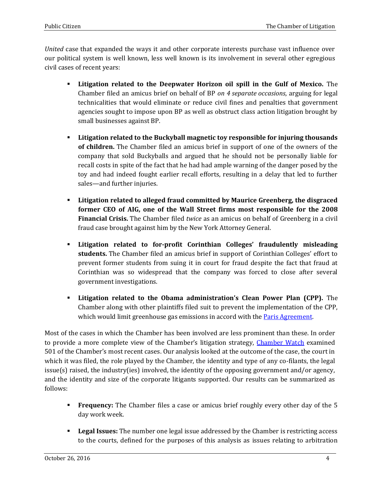*United* case that expanded the ways it and other corporate interests purchase vast influence over our political system is well known, less well known is its involvement in several other egregious civil cases of recent years:

- **Litigation related to the Deepwater Horizon oil spill in the Gulf of Mexico.** The Chamber filed an amicus brief on behalf of BP *on 4 separate occasions*, arguing for legal technicalities that would eliminate or reduce civil fines and penalties that government agencies sought to impose upon BP as well as obstruct class action litigation brought by small businesses against BP.
- **Litigation related to the Buckyball magnetic toy responsible for injuring thousands of children.** The Chamber filed an amicus brief in support of one of the owners of the company that sold Buckyballs and argued that he should not be personally liable for recall costs in spite of the fact that he had had ample warning of the danger posed by the toy and had indeed fought earlier recall efforts, resulting in a delay that led to further sales—and further injuries.
- **Litigation related to alleged fraud committed by Maurice Greenberg, the disgraced former CEO of AIG, one of the Wall Street firms most responsible for the 2008 Financial Crisis.** The Chamber filed *twice* as an amicus on behalf of Greenberg in a civil fraud case brought against him by the New York Attorney General.
- **Litigation related to for-profit Corinthian Colleges' fraudulently misleading students.** The Chamber filed an amicus brief in support of Corinthian Colleges' effort to prevent former students from suing it in court for fraud despite the fact that fraud at Corinthian was so widespread that the company was forced to close after several government investigations.
- **Litigation related to the Obama administration's Clean Power Plan (CPP).** The Chamber along with other plaintiffs filed suit to prevent the implementation of the CPP, which would limit greenhouse gas emissions in accord with the [Paris Agreement.](http://unfccc.int/meetings/paris_nov_2015/items/9445.php)

Most of the cases in which the Chamber has been involved are less prominent than these. In order to provide a more complete view of the Chamber's litigation strategy, [Chamber Watch](http://www.chamberofcommercewatch.org/) examined 501 of the Chamber's most recent cases. Our analysis looked at the outcome of the case, the court in which it was filed, the role played by the Chamber, the identity and type of any co-filants, the legal issue(s) raised, the industry(ies) involved, the identity of the opposing government and/or agency, and the identity and size of the corporate litigants supported. Our results can be summarized as follows:

- **Frequency:** The Chamber files a case or amicus brief roughly every other day of the 5 day work week.
- **Legal Issues:** The number one legal issue addressed by the Chamber is restricting access to the courts, defined for the purposes of this analysis as issues relating to arbitration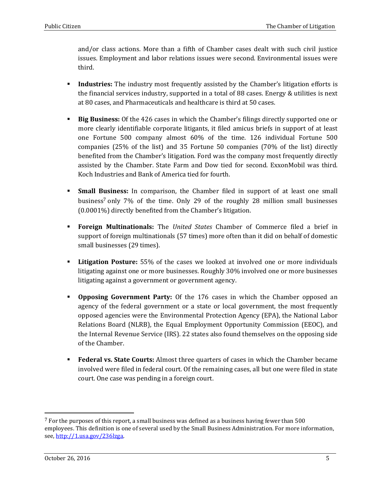and/or class actions. More than a fifth of Chamber cases dealt with such civil justice issues. Employment and labor relations issues were second. Environmental issues were third.

- **Industries:** The industry most frequently assisted by the Chamber's litigation efforts is the financial services industry, supported in a total of 88 cases. Energy & utilities is next at 80 cases, and Pharmaceuticals and healthcare is third at 50 cases.
- **Big Business:** Of the 426 cases in which the Chamber's filings directly supported one or more clearly identifiable corporate litigants, it filed amicus briefs in support of at least one Fortune 500 company almost 60% of the time. 126 individual Fortune 500 companies (25% of the list) and 35 Fortune 50 companies (70% of the list) directly benefited from the Chamber's litigation. Ford was the company most frequently directly assisted by the Chamber. State Farm and Dow tied for second. ExxonMobil was third. Koch Industries and Bank of America tied for fourth.
- **Small Business:** In comparison, the Chamber filed in support of at least one small business<sup>7</sup> only 7% of the time. Only 29 of the roughly 28 million small businesses (0.0001%) directly benefited from the Chamber's litigation.
- **Foreign Multinationals:** The *United States* Chamber of Commerce filed a brief in support of foreign multinationals (57 times) more often than it did on behalf of domestic small businesses (29 times).
- **Litigation Posture:** 55% of the cases we looked at involved one or more individuals litigating against one or more businesses. Roughly 30% involved one or more businesses litigating against a government or government agency.
- **Opposing Government Party:** Of the 176 cases in which the Chamber opposed an agency of the federal government or a state or local government, the most frequently opposed agencies were the Environmental Protection Agency (EPA), the National Labor Relations Board (NLRB), the Equal Employment Opportunity Commission (EEOC), and the Internal Revenue Service (IRS). 22 states also found themselves on the opposing side of the Chamber.
- **Federal vs. State Courts:** Almost three quarters of cases in which the Chamber became involved were filed in federal court. Of the remaining cases, all but one were filed in state court. One case was pending in a foreign court.

 $<sup>7</sup>$  For the purposes of this report, a small business was defined as a business having fewer than 500</sup> employees. This definition is one of several used by the Small Business Administration. For more information, see, [http://1.usa.gov/236lzga.](http://1.usa.gov/236lzga)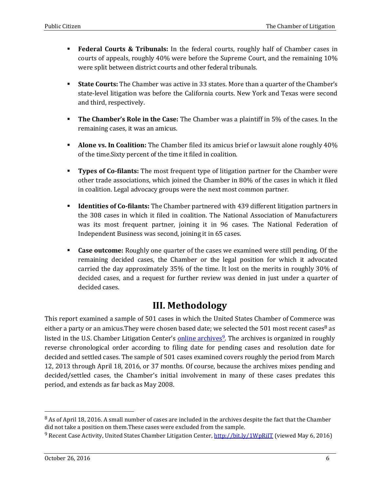- **Federal Courts & Tribunals:** In the federal courts, roughly half of Chamber cases in courts of appeals, roughly 40% were before the Supreme Court, and the remaining 10% were split between district courts and other federal tribunals.
- **State Courts:** The Chamber was active in 33 states. More than a quarter of the Chamber's state-level litigation was before the California courts. New York and Texas were second and third, respectively.
- **The Chamber's Role in the Case:** The Chamber was a plaintiff in 5% of the cases. In the remaining cases, it was an amicus.
- **Alone vs. In Coalition:** The Chamber filed its amicus brief or lawsuit alone roughly 40% of the time.Sixty percent of the time it filed in coalition.
- **Types of Co-filants:** The most frequent type of litigation partner for the Chamber were other trade associations, which joined the Chamber in 80% of the cases in which it filed in coalition. Legal advocacy groups were the next most common partner.
- **Identities of Co-filants:** The Chamber partnered with 439 different litigation partners in the 308 cases in which it filed in coalition. The National Association of Manufacturers was its most frequent partner, joining it in 96 cases. The National Federation of Independent Business was second, joining it in 65 cases.
- **Case outcome:** Roughly one quarter of the cases we examined were still pending. Of the remaining decided cases, the Chamber or the legal position for which it advocated carried the day approximately 35% of the time. It lost on the merits in roughly 30% of decided cases, and a request for further review was denied in just under a quarter of decided cases.

### **III. Methodology**

This report examined a sample of 501 cases in which the United States Chamber of Commerce was either a party or an amicus. They were chosen based date; we selected the 501 most recent cases as listed in the U.S. Chamber Litigation Center's **[online archives](http://www.chamberlitigation.com/cases)<sup>9</sup>**. The archives is organized in roughly reverse chronological order according to filing date for pending cases and resolution date for decided and settled cases. The sample of 501 cases examined covers roughly the period from March 12, 2013 through April 18, 2016, or 37 months. Of course, because the archives mixes pending and decided/settled cases, the Chamber's initial involvement in many of these cases predates this period, and extends as far back as May 2008.

<sup>8</sup> As of April 18, 2016. A small number of cases are included in the archives despite the fact that the Chamber did not take a position on them.These cases were excluded from the sample.

<sup>9</sup> Recent Case Activity, United States Chamber Litigation Center,<http://bit.ly/1WpRiIT> (viewed May 6, 2016)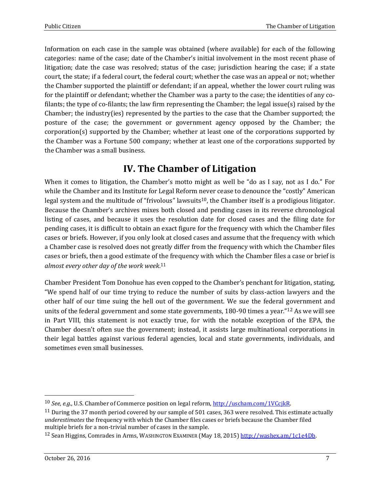Information on each case in the sample was obtained (where available) for each of the following categories: name of the case; date of the Chamber's initial involvement in the most recent phase of litigation; date the case was resolved; status of the case; jurisdiction hearing the case; if a state court, the state; if a federal court, the federal court; whether the case was an appeal or not; whether the Chamber supported the plaintiff or defendant; if an appeal, whether the lower court ruling was for the plaintiff or defendant; whether the Chamber was a party to the case; the identities of any cofilants; the type of co-filants; the law firm representing the Chamber; the legal issue(s) raised by the Chamber; the industry(ies) represented by the parties to the case that the Chamber supported; the posture of the case; the government or government agency opposed by the Chamber; the corporation(s) supported by the Chamber; whether at least one of the corporations supported by the Chamber was a Fortune 500 company; whether at least one of the corporations supported by the Chamber was a small business.

### **IV. The Chamber of Litigation**

When it comes to litigation, the Chamber's motto might as well be "do as I say, not as I do." For while the Chamber and its Institute for Legal Reform never cease to denounce the "costly" American legal system and the multitude of "frivolous" lawsuits<sup>10</sup>, the Chamber itself is a prodigious litigator. Because the Chamber's archives mixes both closed and pending cases in its reverse chronological listing of cases, and because it uses the resolution date for closed cases and the filing date for pending cases, it is difficult to obtain an exact figure for the frequency with which the Chamber files cases or briefs. However, if you only look at closed cases and assume that the frequency with which a Chamber case is resolved does not greatly differ from the frequency with which the Chamber files cases or briefs, then a good estimate of the frequency with which the Chamber files a case or brief is *almost every other day of the work week*. 11

Chamber President Tom Donohue has even copped to the Chamber's penchant for litigation, stating, "We spend half of our time trying to reduce the number of suits by class-action lawyers and the other half of our time suing the hell out of the government. We sue the federal government and units of the federal government and some state governments, 180-90 times a year."<sup>12</sup> As we will see in Part VIII, this statement is not exactly true, for with the notable exception of the EPA, the Chamber doesn't often sue the government; instead, it assists large multinational corporations in their legal battles against various federal agencies, local and state governments, individuals, and sometimes even small businesses.

<sup>10</sup> *See, e.g*., U.S. Chamber of Commerce position on legal reform, [http://uscham.com/1VCcjkR.](http://uscham.com/1VCcjkR) 

 $11$  During the 37 month period covered by our sample of 501 cases, 363 were resolved. This estimate actually *underestimates* the frequency with which the Chamber files cases or briefs because the Chamber filed multiple briefs for a non-trivial number of cases in the sample.

<sup>12</sup> Sean Higgins, Comrades in Arms, WASHINGTON EXAMINER (May 18, 2015) [http://washex.am/1c1e4Db.](http://washex.am/1c1e4Db)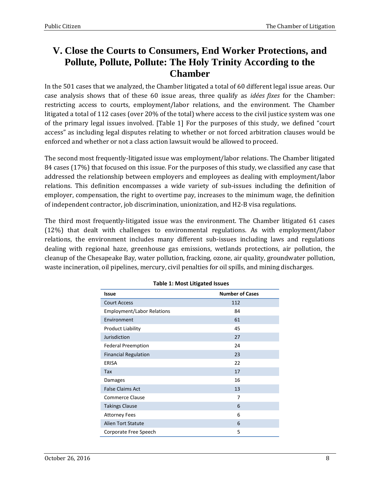### **V. Close the Courts to Consumers, End Worker Protections, and Pollute, Pollute, Pollute: The Holy Trinity According to the Chamber**

In the 501 cases that we analyzed, the Chamber litigated a total of 60 different legal issue areas. Our case analysis shows that of these 60 issue areas, three qualify as *idées fixes* for the Chamber: restricting access to courts, employment/labor relations, and the environment. The Chamber litigated a total of 112 cases (over 20% of the total) where access to the civil justice system was one of the primary legal issues involved. [Table 1] For the purposes of this study, we defined "court access" as including legal disputes relating to whether or not forced arbitration clauses would be enforced and whether or not a class action lawsuit would be allowed to proceed.

The second most frequently-litigated issue was employment/labor relations. The Chamber litigated 84 cases (17%) that focused on this issue. For the purposes of this study, we classified any case that addressed the relationship between employers and employees as dealing with employment/labor relations. This definition encompasses a wide variety of sub-issues including the definition of employer, compensation, the right to overtime pay, increases to the minimum wage, the definition of independent contractor, job discrimination, unionization, and H2-B visa regulations.

The third most frequently-litigated issue was the environment. The Chamber litigated 61 cases (12%) that dealt with challenges to environmental regulations. As with employment/labor relations, the environment includes many different sub-issues including laws and regulations dealing with regional haze, greenhouse gas emissions, wetlands protections, air pollution, the cleanup of the Chesapeake Bay, water pollution, fracking, ozone, air quality, groundwater pollution, waste incineration, oil pipelines, mercury, civil penalties for oil spills, and mining discharges.

| <b>Issue</b>                      | <b>Number of Cases</b> |  |  |
|-----------------------------------|------------------------|--|--|
| <b>Court Access</b>               | 112                    |  |  |
| <b>Employment/Labor Relations</b> | 84                     |  |  |
| Environment                       | 61                     |  |  |
| <b>Product Liability</b>          | 45                     |  |  |
| Jurisdiction                      | 27                     |  |  |
| <b>Federal Preemption</b>         | 24                     |  |  |
| <b>Financial Regulation</b>       | 23                     |  |  |
| ERISA                             | 22                     |  |  |
| Tax                               | 17                     |  |  |
| Damages                           | 16                     |  |  |
| <b>False Claims Act</b>           | 13                     |  |  |
| <b>Commerce Clause</b>            | 7                      |  |  |
| <b>Takings Clause</b>             | 6                      |  |  |
| <b>Attorney Fees</b>              | 6                      |  |  |
| <b>Alien Tort Statute</b>         | 6                      |  |  |
| Corporate Free Speech             | 5                      |  |  |

#### **Table 1: Most Litigated Issues**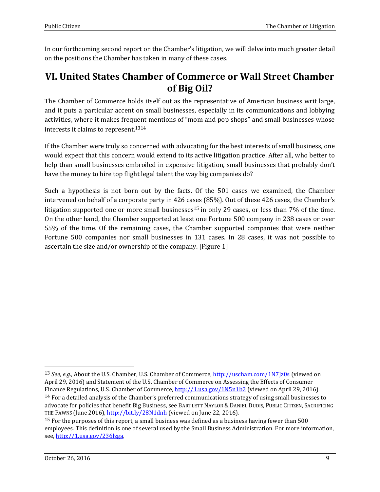In our forthcoming second report on the Chamber's litigation, we will delve into much greater detail on the positions the Chamber has taken in many of these cases.

#### **VI. United States Chamber of Commerce or Wall Street Chamber of Big Oil?**

The Chamber of Commerce holds itself out as the representative of American business writ large, and it puts a particular accent on small businesses, especially in its communications and lobbying activities, where it makes frequent mentions of "mom and pop shops" and small businesses whose interests it claims to represent.<sup>1314</sup>

If the Chamber were truly so concerned with advocating for the best interests of small business, one would expect that this concern would extend to its active litigation practice. After all, who better to help than small businesses embroiled in expensive litigation, small businesses that probably don't have the money to hire top flight legal talent the way big companies do?

Such a hypothesis is not born out by the facts. Of the 501 cases we examined, the Chamber intervened on behalf of a corporate party in 426 cases (85%). Out of these 426 cases, the Chamber's litigation supported one or more small businesses<sup>15</sup> in only 29 cases, or less than 7% of the time. On the other hand, the Chamber supported at least one Fortune 500 company in 238 cases or over 55% of the time. Of the remaining cases, the Chamber supported companies that were neither Fortune 500 companies nor small businesses in 131 cases. In 28 cases, it was not possible to ascertain the size and/or ownership of the company. [Figure 1]

<sup>13</sup> *See, e.g*., About the U.S. Chamber, U.S. Chamber of Commerce[, http://uscham.com/1N7Jz0s](http://uscham.com/1N7Jz0s) (viewed on April 29, 2016) and Statement of the U.S. Chamber of Commerce on Assessing the Effects of Consumer Finance Regulations, U.S. Chamber of Commerce,<http://1.usa.gov/1N5n1b2> (viewed on April 29, 2016).  $14$  For a detailed analysis of the Chamber's preferred communications strategy of using small businesses to advocate for policies that benefit Big Business, see BARTLETT NAYLOR & DANIEL DUDIS, PUBLIC CITIZEN, SACRIFICING THE PAWNS (June 2016), <http://bit.ly/28N1dnh> (viewed on June 22, 2016).

<sup>&</sup>lt;sup>15</sup> For the purposes of this report, a small business was defined as a business having fewer than 500 employees. This definition is one of several used by the Small Business Administration. For more information, see, [http://1.usa.gov/236lzga.](http://1.usa.gov/236lzga)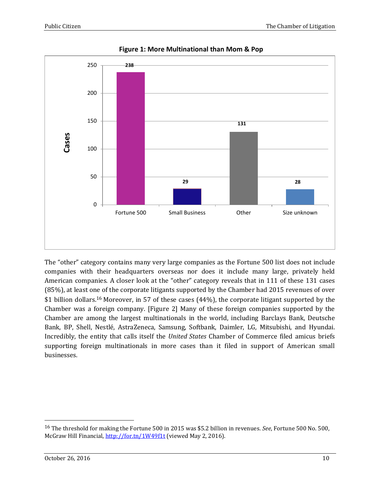

**Figure 1: More Multinational than Mom & Pop**

The "other" category contains many very large companies as the Fortune 500 list does not include companies with their headquarters overseas nor does it include many large, privately held American companies. A closer look at the "other" category reveals that in 111 of these 131 cases (85%), at least one of the corporate litigants supported by the Chamber had 2015 revenues of over \$1 billion dollars.<sup>16</sup> Moreover, in 57 of these cases (44%), the corporate litigant supported by the Chamber was a foreign company. [Figure 2] Many of these foreign companies supported by the Chamber are among the largest multinationals in the world, including Barclays Bank, Deutsche Bank, BP, Shell, Nestlé, AstraZeneca, Samsung, Softbank, Daimler, LG, Mitsubishi, and Hyundai. Incredibly, the entity that calls itself the *United States* Chamber of Commerce filed amicus briefs supporting foreign multinationals in more cases than it filed in support of American small businesses.

<sup>16</sup> The threshold for making the Fortune 500 in 2015 was \$5.2 billion in revenues. *See*, Fortune 500 No. 500, McGraw Hill Financial,<http://for.tn/1W49f1t> (viewed May 2, 2016).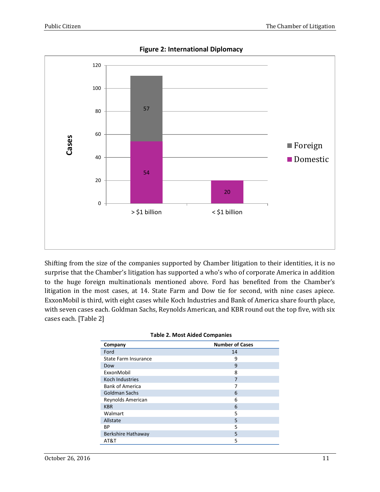

**Figure 2: International Diplomacy**

Shifting from the size of the companies supported by Chamber litigation to their identities, it is no surprise that the Chamber's litigation has supported a who's who of corporate America in addition to the huge foreign multinationals mentioned above. Ford has benefited from the Chamber's litigation in the most cases, at 14. State Farm and Dow tie for second, with nine cases apiece. ExxonMobil is third, with eight cases while Koch Industries and Bank of America share fourth place, with seven cases each. Goldman Sachs, Reynolds American, and KBR round out the top five, with six cases each. [Table 2]

| Company                | <b>Number of Cases</b> |
|------------------------|------------------------|
| Ford                   | 14                     |
| State Farm Insurance   | 9                      |
| Dow                    | 9                      |
| ExxonMobil             | 8                      |
| Koch Industries        | 7                      |
| <b>Bank of America</b> | 7                      |
| <b>Goldman Sachs</b>   | 6                      |
| Reynolds American      | 6                      |
| <b>KBR</b>             | 6                      |
| Walmart                | 5                      |
| Allstate               | 5                      |
| <b>BP</b>              | 5                      |
| Berkshire Hathaway     | 5                      |
| AT&T                   | 5                      |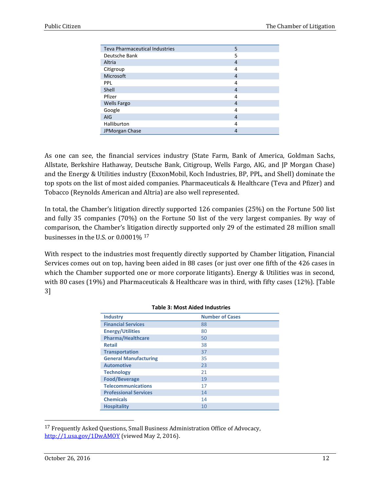| <b>Teva Pharmaceutical Industries</b> | 5              |
|---------------------------------------|----------------|
| Deutsche Bank                         | 5              |
| Altria                                | 4              |
| Citigroup                             | 4              |
| Microsoft                             | $\overline{4}$ |
| PPL                                   | 4              |
| Shell                                 | $\overline{4}$ |
| Pfizer                                | 4              |
| <b>Wells Fargo</b>                    | 4              |
| Google                                | 4              |
| <b>AIG</b>                            | 4              |
| Halliburton                           | 4              |
| JPMorgan Chase                        | 4              |

As one can see, the financial services industry (State Farm, Bank of America, Goldman Sachs, Allstate, Berkshire Hathaway, Deutsche Bank, Citigroup, Wells Fargo, AIG, and JP Morgan Chase) and the Energy & Utilities industry (ExxonMobil, Koch Industries, BP, PPL, and Shell) dominate the top spots on the list of most aided companies. Pharmaceuticals & Healthcare (Teva and Pfizer) and Tobacco (Reynolds American and Altria) are also well represented.

In total, the Chamber's litigation directly supported 126 companies (25%) on the Fortune 500 list and fully 35 companies (70%) on the Fortune 50 list of the very largest companies. By way of comparison, the Chamber's litigation directly supported only 29 of the estimated 28 million small businesses in the U.S. or 0.0001% <sup>17</sup>

With respect to the industries most frequently directly supported by Chamber litigation, Financial Services comes out on top, having been aided in 88 cases (or just over one fifth of the 426 cases in which the Chamber supported one or more corporate litigants). Energy & Utilities was in second, with 80 cases (19%) and Pharmaceuticals & Healthcare was in third, with fifty cases (12%). [Table 3]

| <b>Industry</b>              | <b>Number of Cases</b> |
|------------------------------|------------------------|
| <b>Financial Services</b>    | 88                     |
| <b>Energy/Utilities</b>      | 80                     |
| <b>Pharma/Healthcare</b>     | 50                     |
| <b>Retail</b>                | 38                     |
| <b>Transportation</b>        | 37                     |
| <b>General Manufacturing</b> | 35                     |
| <b>Automotive</b>            | 23                     |
| <b>Technology</b>            | 21                     |
| <b>Food/Beverage</b>         | 19                     |
| <b>Telecommunications</b>    | 17                     |
| <b>Professional Services</b> | 14                     |
| <b>Chemicals</b>             | 14                     |
| <b>Hospitality</b>           | 10                     |

#### **Table 3: Most Aided Industries**

17 Frequently Asked Questions, Small Business Administration Office of Advocacy, <http://1.usa.gov/1DwAMOY> (viewed May 2, 2016).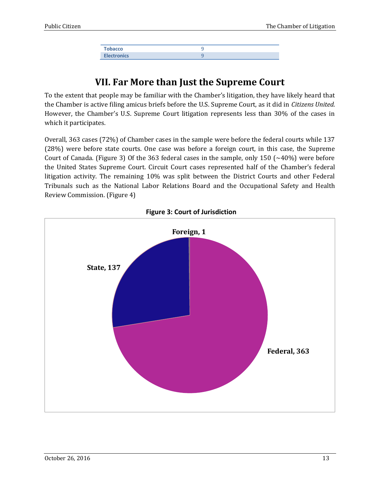| <b>Tobacco</b>     |  |
|--------------------|--|
| <b>Electronics</b> |  |

### **VII. Far More than Just the Supreme Court**

To the extent that people may be familiar with the Chamber's litigation, they have likely heard that the Chamber is active filing amicus briefs before the U.S. Supreme Court, as it did in *Citizens United*. However, the Chamber's U.S. Supreme Court litigation represents less than 30% of the cases in which it participates.

Overall, 363 cases (72%) of Chamber cases in the sample were before the federal courts while 137 (28%) were before state courts. One case was before a foreign court, in this case, the Supreme Court of Canada. (Figure 3) Of the 363 federal cases in the sample, only 150 ( $\sim$ 40%) were before the United States Supreme Court. Circuit Court cases represented half of the Chamber's federal litigation activity. The remaining 10% was split between the District Courts and other Federal Tribunals such as the National Labor Relations Board and the Occupational Safety and Health Review Commission. (Figure 4)



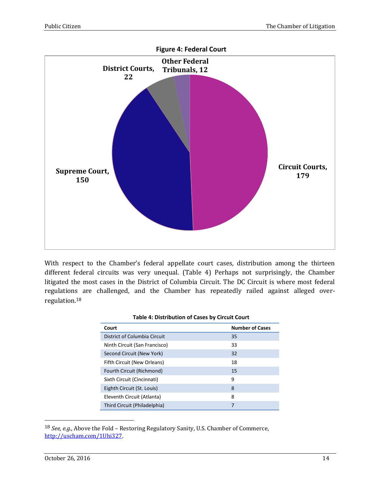

With respect to the Chamber's federal appellate court cases, distribution among the thirteen different federal circuits was very unequal. (Table 4) Perhaps not surprisingly, the Chamber litigated the most cases in the District of Columbia Circuit. The DC Circuit is where most federal regulations are challenged, and the Chamber has repeatedly railed against alleged overregulation.<sup>18</sup>

| <b>Table 4: Distribution of Cases by Circuit Court</b> |  |
|--------------------------------------------------------|--|
|                                                        |  |

| Court                         | <b>Number of Cases</b> |
|-------------------------------|------------------------|
| District of Columbia Circuit  | 35                     |
| Ninth Circuit (San Francisco) | 33                     |
| Second Circuit (New York)     | 32                     |
| Fifth Circuit (New Orleans)   | 18                     |
| Fourth Circuit (Richmond)     | 15                     |
| Sixth Circuit (Cincinnati)    | 9                      |
| Eighth Circuit (St. Louis)    | 8                      |
| Eleventh Circuit (Atlanta)    | 8                      |
| Third Circuit (Philadelphia)  |                        |

18 *See, e.g*., Above the Fold – Restoring Regulatory Sanity, U.S. Chamber of Commerce, [http://uscham.com/1Uhi327.](http://uscham.com/1Uhi327)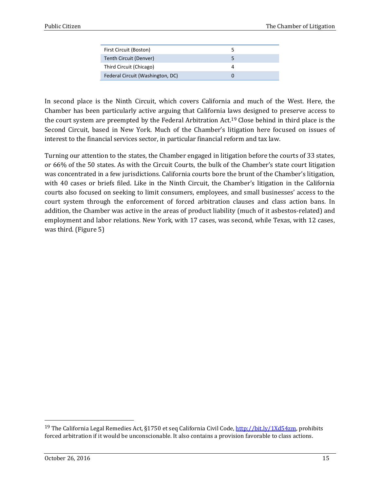In second place is the Ninth Circuit, which covers California and much of the West. Here, the Chamber has been particularly active arguing that California laws designed to preserve access to the court system are preempted by the Federal Arbitration Act.<sup>19</sup> Close behind in third place is the Second Circuit, based in New York. Much of the Chamber's litigation here focused on issues of interest to the financial services sector, in particular financial reform and tax law.

Turning our attention to the states, the Chamber engaged in litigation before the courts of 33 states, or 66% of the 50 states. As with the Circuit Courts, the bulk of the Chamber's state court litigation was concentrated in a few jurisdictions. California courts bore the brunt of the Chamber's litigation, with 40 cases or briefs filed. Like in the Ninth Circuit, the Chamber's litigation in the California courts also focused on seeking to limit consumers, employees, and small businesses' access to the court system through the enforcement of forced arbitration clauses and class action bans. In addition, the Chamber was active in the areas of product liability (much of it asbestos-related) and employment and labor relations. New York, with 17 cases, was second, while Texas, with 12 cases, was third. (Figure 5)

<sup>&</sup>lt;sup>19</sup> The California Legal Remedies Act, §1750 et seq California Civil Code, [http://bit.ly/1Xd54zm,](http://bit.ly/1Xd54zm) prohibits forced arbitration if it would be unconscionable. It also contains a provision favorable to class actions.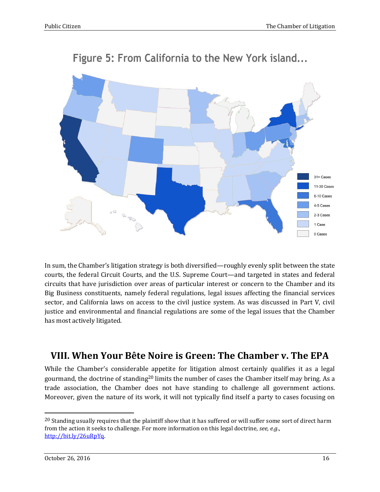

# Figure 5: From California to the New York island...

In sum, the Chamber's litigation strategy is both diversified—roughly evenly split between the state courts, the federal Circuit Courts, and the U.S. Supreme Court—and targeted in states and federal circuits that have jurisdiction over areas of particular interest or concern to the Chamber and its Big Business constituents, namely federal regulations, legal issues affecting the financial services sector, and California laws on access to the civil justice system. As was discussed in Part V, civil justice and environmental and financial regulations are some of the legal issues that the Chamber has most actively litigated.

### **VIII. When Your Bête Noire is Green: The Chamber v. The EPA**

While the Chamber's considerable appetite for litigation almost certainly qualifies it as a legal gourmand, the doctrine of standing<sup>20</sup> limits the number of cases the Chamber itself may bring. As a trade association, the Chamber does not have standing to challenge all government actions. Moreover, given the nature of its work, it will not typically find itself a party to cases focusing on

<sup>&</sup>lt;sup>20</sup> Standing usually requires that the plaintiff show that it has suffered or will suffer some sort of direct harm from the action it seeks to challenge. For more information on this legal doctrine, *see, e.g*., [http://bit.ly/26uRpYq.](http://bit.ly/26uRpYq)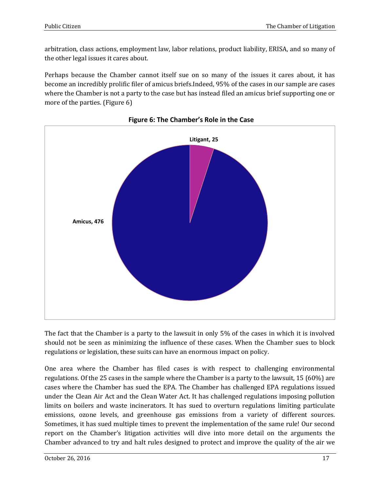arbitration, class actions, employment law, labor relations, product liability, ERISA, and so many of the other legal issues it cares about.

Perhaps because the Chamber cannot itself sue on so many of the issues it cares about, it has become an incredibly prolific filer of amicus briefs.Indeed, 95% of the cases in our sample are cases where the Chamber is not a party to the case but has instead filed an amicus brief supporting one or more of the parties. (Figure 6)





The fact that the Chamber is a party to the lawsuit in only 5% of the cases in which it is involved should not be seen as minimizing the influence of these cases. When the Chamber sues to block regulations or legislation, these suits can have an enormous impact on policy.

One area where the Chamber has filed cases is with respect to challenging environmental regulations. Of the 25 cases in the sample where the Chamber is a party to the lawsuit, 15 (60%) are cases where the Chamber has sued the EPA. The Chamber has challenged EPA regulations issued under the Clean Air Act and the Clean Water Act. It has challenged regulations imposing pollution limits on boilers and waste incinerators. It has sued to overturn regulations limiting particulate emissions, ozone levels, and greenhouse gas emissions from a variety of different sources. Sometimes, it has sued multiple times to prevent the implementation of the same rule! Our second report on the Chamber's litigation activities will dive into more detail on the arguments the Chamber advanced to try and halt rules designed to protect and improve the quality of the air we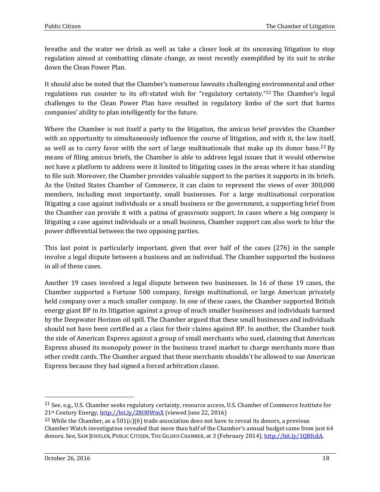breathe and the water we drink as well as take a closer look at its unceasing litigation to stop regulation aimed at combatting climate change, as most recently exemplified by its suit to strike down the Clean Power Plan.

It should also be noted that the Chamber's numerous lawsuits challenging environmental and other regulations run counter to its oft-stated wish for "regulatory certainty."<sup>21</sup> The Chamber's legal challenges to the Clean Power Plan have resulted in regulatory limbo of the sort that harms companies' ability to plan intelligently for the future.

Where the Chamber is not itself a party to the litigation, the amicus brief provides the Chamber with an opportunity to simultaneously influence the course of litigation, and with it, the law itself, as well as to curry favor with the sort of large multinationals that make up its donor base.<sup>22</sup> By means of filing amicus briefs, the Chamber is able to address legal issues that it would otherwise not have a platform to address were it limited to litigating cases in the areas where it has standing to file suit. Moreover, the Chamber provides valuable support to the parties it supports in its briefs. As the United States Chamber of Commerce, it can claim to represent the views of over 300,000 members, including most importantly, small businesses. For a large multinational corporation litigating a case against individuals or a small business or the government, a supporting brief from the Chamber can provide it with a patina of grassroots support. In cases where a big company is litigating a case against individuals or a small business, Chamber support can also work to blur the power differential between the two opposing parties.

This last point is particularly important, given that over half of the cases (276) in the sample involve a legal dispute between a business and an individual. The Chamber supported the business in all of these cases.

Another 19 cases involved a legal dispute between two businesses. In 16 of these 19 cases, the Chamber supported a Fortune 500 company, foreign multinational, or large American privately held company over a much smaller company. In one of these cases, the Chamber supported British energy giant BP in its litigation against a group of much smaller businesses and individuals harmed by the Deepwater Horizon oil spill. The Chamber argued that these small businesses and individuals should not have been certified as a class for their claims against BP. In another, the Chamber took the side of American Express against a group of small merchants who sued, claiming that American Express abused its monopoly power in the business travel market to charge merchants more than other credit cards. The Chamber argued that these merchants shouldn't be allowed to sue American Express because they had signed a forced arbitration clause.

<sup>21</sup> See, e.g., U.S. Chamber seeks regulatory certainty, resource access, U.S. Chamber of Commerce Institute for 21st Century Energy,<http://bit.ly/28O8WmX> (viewed June 22, 2016)

<sup>&</sup>lt;sup>22</sup> While the Chamber, as a 501(c)(6) trade association does not have to reveal its donors, a previous Chamber Watch investigation revealed that more than half of the Chamber's annual budget came from just 64 donors. See, SAM JEWELER, PUBLIC CITIZEN, THE GILDED CHAMBER, at 3 (February 2014), [http://bit.ly/1QBfcdA.](http://bit.ly/1QBfcdA)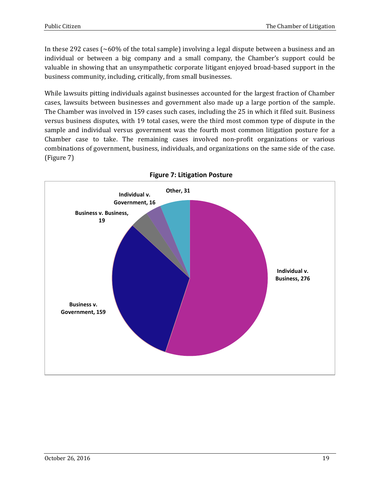In these 292 cases ( $\sim60\%$  of the total sample) involving a legal dispute between a business and an individual or between a big company and a small company, the Chamber's support could be valuable in showing that an unsympathetic corporate litigant enjoyed broad-based support in the business community, including, critically, from small businesses.

While lawsuits pitting individuals against businesses accounted for the largest fraction of Chamber cases, lawsuits between businesses and government also made up a large portion of the sample. The Chamber was involved in 159 cases such cases, including the 25 in which it filed suit. Business versus business disputes, with 19 total cases, were the third most common type of dispute in the sample and individual versus government was the fourth most common litigation posture for a Chamber case to take. The remaining cases involved non-profit organizations or various combinations of government, business, individuals, and organizations on the same side of the case. (Figure 7)



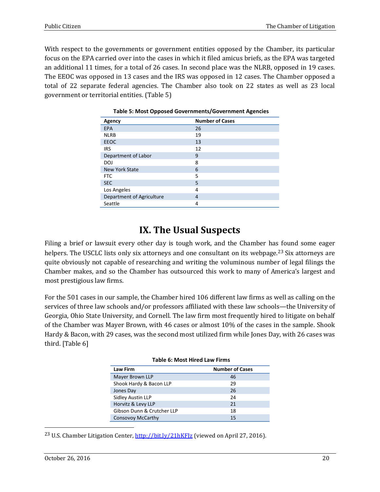With respect to the governments or government entities opposed by the Chamber, its particular focus on the EPA carried over into the cases in which it filed amicus briefs, as the EPA was targeted an additional 11 times, for a total of 26 cases. In second place was the NLRB, opposed in 19 cases. The EEOC was opposed in 13 cases and the IRS was opposed in 12 cases. The Chamber opposed a total of 22 separate federal agencies. The Chamber also took on 22 states as well as 23 local government or territorial entities. (Table 5)

| Agency                    | <b>Number of Cases</b> |
|---------------------------|------------------------|
| <b>EPA</b>                | 26                     |
| <b>NLRB</b>               | 19                     |
| <b>EEOC</b>               | 13                     |
| <b>IRS</b>                | 12                     |
| Department of Labor       | 9                      |
| DOJ                       | 8                      |
| New York State            | 6                      |
| <b>FTC</b>                | 5                      |
| <b>SEC</b>                | 5                      |
| Los Angeles               | 4                      |
| Department of Agriculture | 4                      |
| Seattle                   | 4                      |

|  | Table 5: Most Opposed Governments/Government Agencies |  |
|--|-------------------------------------------------------|--|
|  |                                                       |  |

#### **IX. The Usual Suspects**

Filing a brief or lawsuit every other day is tough work, and the Chamber has found some eager helpers. The USCLC lists only six attorneys and one consultant on its webpage.<sup>23</sup> Six attorneys are quite obviously not capable of researching and writing the voluminous number of legal filings the Chamber makes, and so the Chamber has outsourced this work to many of America's largest and most prestigious law firms.

For the 501 cases in our sample, the Chamber hired 106 different law firms as well as calling on the services of three law schools and/or professors affiliated with these law schools—the University of Georgia, Ohio State University, and Cornell. The law firm most frequently hired to litigate on behalf of the Chamber was Mayer Brown, with 46 cases or almost 10% of the cases in the sample. Shook Hardy & Bacon, with 29 cases, was the second most utilized firm while Jones Day, with 26 cases was third. [Table 6]

| <b>Table 6: Most Hired Law Firms</b>      |    |  |
|-------------------------------------------|----|--|
| <b>Number of Cases</b><br><b>Law Firm</b> |    |  |
| Mayer Brown LLP                           | 46 |  |
| Shook Hardy & Bacon LLP                   | 29 |  |
| Jones Day                                 | 26 |  |
| Sidley Austin LLP                         | 24 |  |
| Horvitz & Levy LLP                        | 21 |  |
| Gibson Dunn & Crutcher LLP                | 18 |  |
| <b>Consovoy McCarthy</b>                  | 15 |  |

23 U.S. Chamber Litigation Center,<http://bit.ly/21hKFJz> (viewed on April 27, 2016).

 $\overline{a}$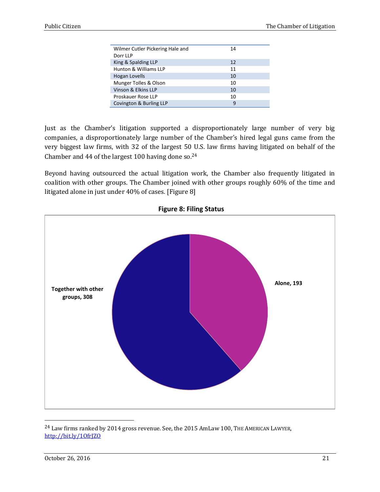| Wilmer Cutler Pickering Hale and | 14 |  |
|----------------------------------|----|--|
| Dorr LLP                         |    |  |
| King & Spalding LLP              | 12 |  |
| Hunton & Williams LLP            | 11 |  |
| <b>Hogan Lovells</b>             | 10 |  |
| Munger Tolles & Olson            | 10 |  |
| Vinson & Elkins LLP              | 10 |  |
| Proskauer Rose LLP               | 10 |  |
| Covington & Burling LLP          | 9  |  |
|                                  |    |  |

Just as the Chamber's litigation supported a disproportionately large number of very big companies, a disproportionately large number of the Chamber's hired legal guns came from the very biggest law firms, with 32 of the largest 50 U.S. law firms having litigated on behalf of the Chamber and 44 of the largest 100 having done so. $24$ 

Beyond having outsourced the actual litigation work, the Chamber also frequently litigated in coalition with other groups. The Chamber joined with other groups roughly 60% of the time and litigated alone in just under 40% of cases. [Figure 8]



**Figure 8: Filing Status**

<sup>&</sup>lt;sup>24</sup> Law firms ranked by 2014 gross revenue. See, the 2015 AmLaw 100, THE AMERICAN LAWYER, <http://bit.ly/1OfrJZO>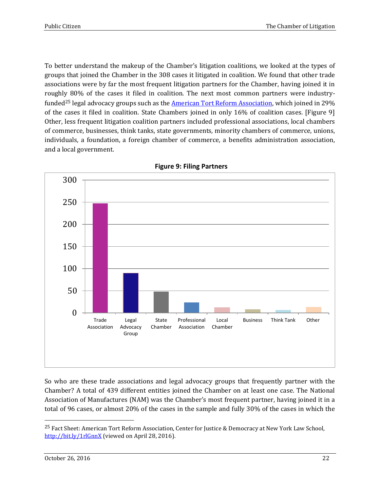To better understand the makeup of the Chamber's litigation coalitions, we looked at the types of groups that joined the Chamber in the 308 cases it litigated in coalition. We found that other trade associations were by far the most frequent litigation partners for the Chamber, having joined it in roughly 80% of the cases it filed in coalition. The next most common partners were industry-funded<sup>25</sup> legal advocacy groups such as the [American Tort Reform Association,](http://www.atra.org/) which joined in 29% of the cases it filed in coalition. State Chambers joined in only 16% of coalition cases. [Figure 9] Other, less frequent litigation coalition partners included professional associations, local chambers of commerce, businesses, think tanks, state governments, minority chambers of commerce, unions, individuals, a foundation, a foreign chamber of commerce, a benefits administration association, and a local government.



**Figure 9: Filing Partners**

So who are these trade associations and legal advocacy groups that frequently partner with the Chamber? A total of 439 different entities joined the Chamber on at least one case. The National Association of Manufactures (NAM) was the Chamber's most frequent partner, having joined it in a total of 96 cases, or almost 20% of the cases in the sample and fully 30% of the cases in which the

<sup>&</sup>lt;sup>25</sup> Fact Sheet: American Tort Reform Association, Center for Justice & Democracy at New York Law School, <http://bit.ly/1rlGnnX> (viewed on April 28, 2016).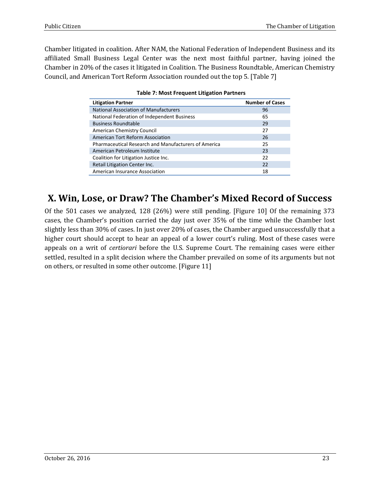Chamber litigated in coalition. After NAM, the National Federation of Independent Business and its affiliated Small Business Legal Center was the next most faithful partner, having joined the Chamber in 20% of the cases it litigated in Coalition. The Business Roundtable, American Chemistry Council, and American Tort Reform Association rounded out the top 5. [Table 7]

| <b>Litigation Partner</b>                            | <b>Number of Cases</b> |
|------------------------------------------------------|------------------------|
| <b>National Association of Manufacturers</b>         | 96                     |
| National Federation of Independent Business          | 65                     |
| <b>Business Roundtable</b>                           | 29                     |
| American Chemistry Council                           | 27                     |
| American Tort Reform Association                     | 26                     |
| Pharmaceutical Research and Manufacturers of America | 25                     |
| American Petroleum Institute                         | 23                     |
| Coalition for Litigation Justice Inc.                | 22                     |
| Retail Litigation Center Inc.                        | 22                     |
| American Insurance Association                       | 18                     |

| <b>Table 7: Most Frequent Litigation Partners</b> |  |
|---------------------------------------------------|--|
|---------------------------------------------------|--|

### **X. Win, Lose, or Draw? The Chamber's Mixed Record of Success**

Of the 501 cases we analyzed, 128 (26%) were still pending. [Figure 10] Of the remaining 373 cases, the Chamber's position carried the day just over 35% of the time while the Chamber lost slightly less than 30% of cases. In just over 20% of cases, the Chamber argued unsuccessfully that a higher court should accept to hear an appeal of a lower court's ruling. Most of these cases were appeals on a writ of *certiorari* before the U.S. Supreme Court. The remaining cases were either settled, resulted in a split decision where the Chamber prevailed on some of its arguments but not on others, or resulted in some other outcome. [Figure 11]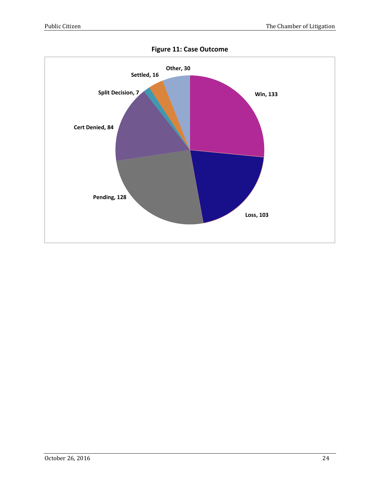

**Figure 11: Case Outcome**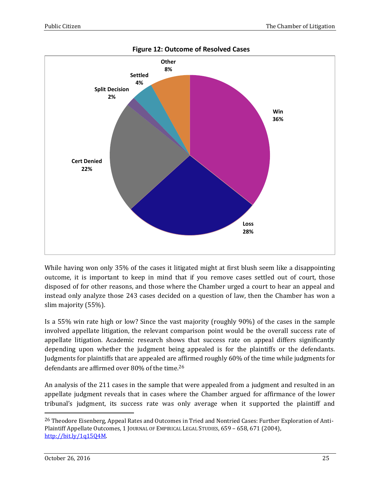

**Figure 12: Outcome of Resolved Cases** 

While having won only 35% of the cases it litigated might at first blush seem like a disappointing outcome, it is important to keep in mind that if you remove cases settled out of court, those disposed of for other reasons, and those where the Chamber urged a court to hear an appeal and instead only analyze those 243 cases decided on a question of law, then the Chamber has won a slim majority (55%).

Is a 55% win rate high or low? Since the vast majority (roughly 90%) of the cases in the sample involved appellate litigation, the relevant comparison point would be the overall success rate of appellate litigation. Academic research shows that success rate on appeal differs significantly depending upon whether the judgment being appealed is for the plaintiffs or the defendants. Judgments for plaintiffs that are appealed are affirmed roughly 60% of the time while judgments for defendants are affirmed over 80% of the time.<sup>26</sup>

An analysis of the 211 cases in the sample that were appealed from a judgment and resulted in an appellate judgment reveals that in cases where the Chamber argued for affirmance of the lower tribunal's judgment, its success rate was only average when it supported the plaintiff and

<sup>&</sup>lt;sup>26</sup> Theodore Eisenberg, Appeal Rates and Outcomes in Tried and Nontried Cases: Further Exploration of Anti-Plaintiff Appellate Outcomes, 1 JOURNAL OF EMPIRICAL LEGAL STUDIES, 659 – 658, 671 (2004), [http://bit.ly/1q15Q4M.](http://bit.ly/1q15Q4M)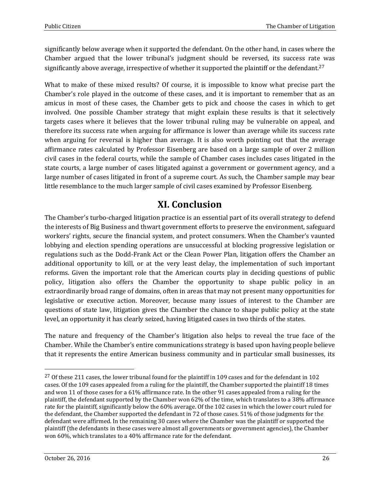significantly below average when it supported the defendant. On the other hand, in cases where the Chamber argued that the lower tribunal's judgment should be reversed, its success rate was significantly above average, irrespective of whether it supported the plaintiff or the defendant.<sup>27</sup>

What to make of these mixed results? Of course, it is impossible to know what precise part the Chamber's role played in the outcome of these cases, and it is important to remember that as an amicus in most of these cases, the Chamber gets to pick and choose the cases in which to get involved. One possible Chamber strategy that might explain these results is that it selectively targets cases where it believes that the lower tribunal ruling may be vulnerable on appeal, and therefore its success rate when arguing for affirmance is lower than average while its success rate when arguing for reversal is higher than average. It is also worth pointing out that the average affirmance rates calculated by Professor Eisenberg are based on a large sample of over 2 million civil cases in the federal courts, while the sample of Chamber cases includes cases litigated in the state courts, a large number of cases litigated against a government or government agency, and a large number of cases litigated in front of a supreme court. As such, the Chamber sample may bear little resemblance to the much larger sample of civil cases examined by Professor Eisenberg.

### **XI. Conclusion**

The Chamber's turbo-charged litigation practice is an essential part of its overall strategy to defend the interests of Big Business and thwart government efforts to preserve the environment, safeguard workers' rights, secure the financial system, and protect consumers. When the Chamber's vaunted lobbying and election spending operations are unsuccessful at blocking progressive legislation or regulations such as the Dodd-Frank Act or the Clean Power Plan, litigation offers the Chamber an additional opportunity to kill, or at the very least delay, the implementation of such important reforms. Given the important role that the American courts play in deciding questions of public policy, litigation also offers the Chamber the opportunity to shape public policy in an extraordinarily broad range of domains, often in areas that may not present many opportunities for legislative or executive action. Moreover, because many issues of interest to the Chamber are questions of state law, litigation gives the Chamber the chance to shape public policy at the state level, an opportunity it has clearly seized, having litigated cases in two thirds of the states.

The nature and frequency of the Chamber's litigation also helps to reveal the true face of the Chamber. While the Chamber's entire communications strategy is based upon having people believe that it represents the entire American business community and in particular small businesses, its

<sup>&</sup>lt;sup>27</sup> Of these 211 cases, the lower tribunal found for the plaintiff in 109 cases and for the defendant in 102 cases. Of the 109 cases appealed from a ruling for the plaintiff, the Chamber supported the plaintiff 18 times and won 11 of those cases for a 61% affirmance rate. In the other 91 cases appealed from a ruling for the plaintiff, the defendant supported by the Chamber won 62% of the time, which translates to a 38% affirmance rate for the plaintiff, significantly below the 60% average. Of the 102 cases in which the lower court ruled for the defendant, the Chamber supported the defendant in 72 of those cases. 51% of those judgments for the defendant were affirmed. In the remaining 30 cases where the Chamber was the plaintiff or supported the plaintiff (the defendants in these cases were almost all governments or government agencies), the Chamber won 60%, which translates to a 40% affirmance rate for the defendant.